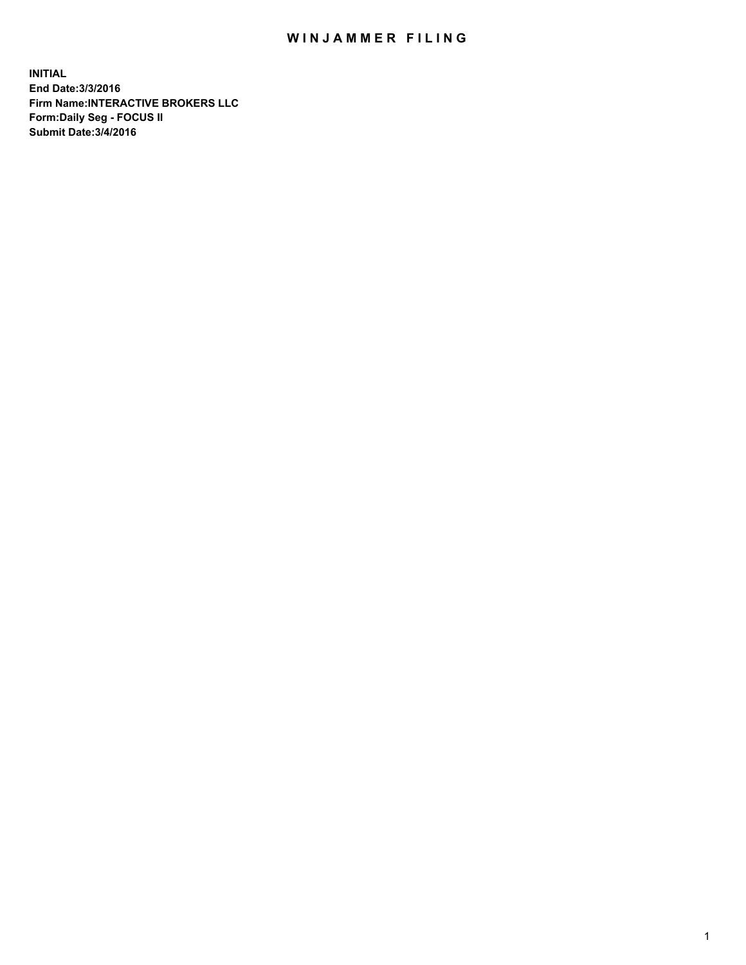## WIN JAMMER FILING

**INITIAL End Date:3/3/2016 Firm Name:INTERACTIVE BROKERS LLC Form:Daily Seg - FOCUS II Submit Date:3/4/2016**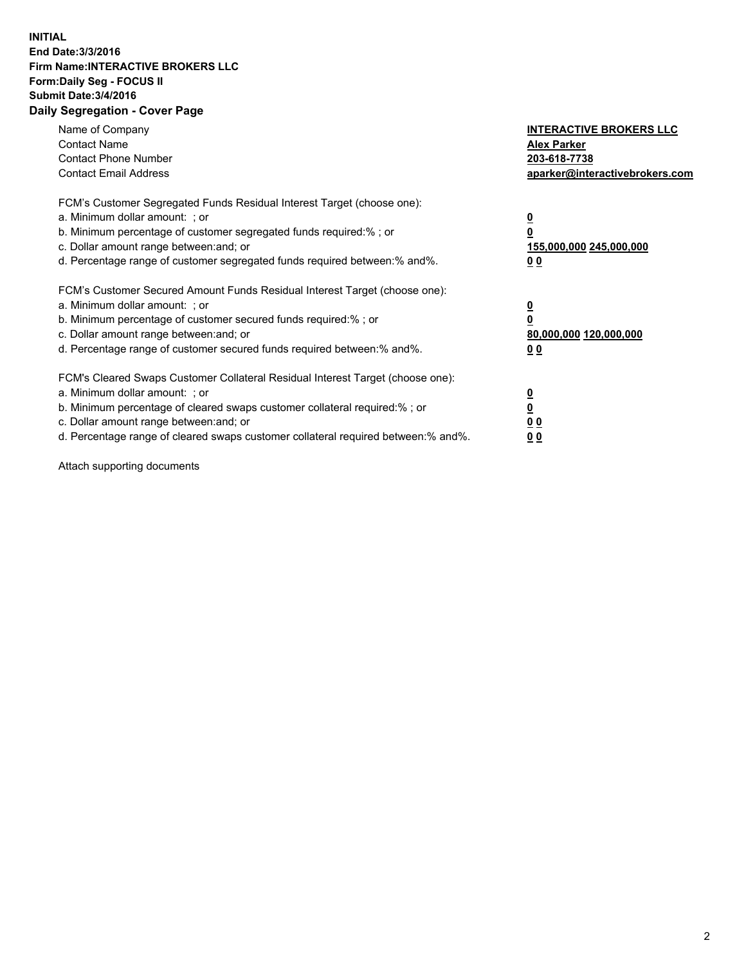## **INITIAL End Date:3/3/2016 Firm Name:INTERACTIVE BROKERS LLC Form:Daily Seg - FOCUS II Submit Date:3/4/2016 Daily Segregation - Cover Page**

| Name of Company<br><b>Contact Name</b><br><b>Contact Phone Number</b><br><b>Contact Email Address</b>                                                                                                                                                                                                                          | <b>INTERACTIVE BROKERS LLC</b><br><b>Alex Parker</b><br>203-618-7738<br>aparker@interactivebrokers.com |
|--------------------------------------------------------------------------------------------------------------------------------------------------------------------------------------------------------------------------------------------------------------------------------------------------------------------------------|--------------------------------------------------------------------------------------------------------|
| FCM's Customer Segregated Funds Residual Interest Target (choose one):<br>a. Minimum dollar amount: ; or<br>b. Minimum percentage of customer segregated funds required:%; or<br>c. Dollar amount range between: and; or<br>d. Percentage range of customer segregated funds required between:% and%.                          | <u>0</u><br>155,000,000 245,000,000<br><u>00</u>                                                       |
| FCM's Customer Secured Amount Funds Residual Interest Target (choose one):<br>a. Minimum dollar amount: ; or<br>b. Minimum percentage of customer secured funds required:%; or<br>c. Dollar amount range between: and; or<br>d. Percentage range of customer secured funds required between:% and%.                            | <u>0</u><br>80,000,000 120,000,000<br>0 <sub>0</sub>                                                   |
| FCM's Cleared Swaps Customer Collateral Residual Interest Target (choose one):<br>a. Minimum dollar amount: ; or<br>b. Minimum percentage of cleared swaps customer collateral required:% ; or<br>c. Dollar amount range between: and; or<br>d. Percentage range of cleared swaps customer collateral required between:% and%. | ₫<br>0 <sub>0</sub><br>0 <sub>0</sub>                                                                  |

Attach supporting documents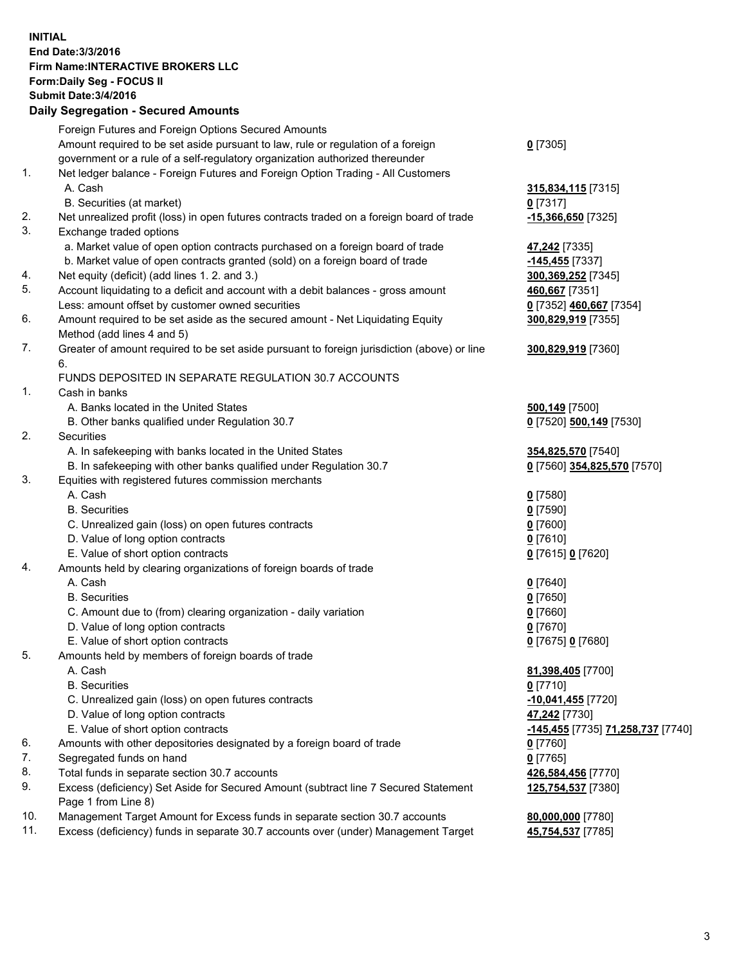## **INITIAL End Date:3/3/2016 Firm Name:INTERACTIVE BROKERS LLC Form:Daily Seg - FOCUS II Submit Date:3/4/2016 Daily Segregation - Secured Amounts**

|     | Foreign Futures and Foreign Options Secured Amounts                                         |                                   |
|-----|---------------------------------------------------------------------------------------------|-----------------------------------|
|     | Amount required to be set aside pursuant to law, rule or regulation of a foreign            | $0$ [7305]                        |
|     | government or a rule of a self-regulatory organization authorized thereunder                |                                   |
| 1.  | Net ledger balance - Foreign Futures and Foreign Option Trading - All Customers             |                                   |
|     | A. Cash                                                                                     | 315,834,115 [7315]                |
|     | B. Securities (at market)                                                                   | $0$ [7317]                        |
| 2.  | Net unrealized profit (loss) in open futures contracts traded on a foreign board of trade   | <u>-15,366,650</u> [7325]         |
| 3.  | Exchange traded options                                                                     |                                   |
|     | a. Market value of open option contracts purchased on a foreign board of trade              | 47,242 [7335]                     |
|     | b. Market value of open contracts granted (sold) on a foreign board of trade                | $-145,455$ [7337]                 |
| 4.  | Net equity (deficit) (add lines 1.2. and 3.)                                                | 300,369,252 [7345]                |
| 5.  | Account liquidating to a deficit and account with a debit balances - gross amount           | 460,667 [7351]                    |
|     |                                                                                             |                                   |
|     | Less: amount offset by customer owned securities                                            | 0 [7352] 460,667 [7354]           |
| 6.  | Amount required to be set aside as the secured amount - Net Liquidating Equity              | 300,829,919 [7355]                |
|     | Method (add lines 4 and 5)                                                                  |                                   |
| 7.  | Greater of amount required to be set aside pursuant to foreign jurisdiction (above) or line | 300,829,919 [7360]                |
|     | 6.                                                                                          |                                   |
|     | FUNDS DEPOSITED IN SEPARATE REGULATION 30.7 ACCOUNTS                                        |                                   |
| 1.  | Cash in banks                                                                               |                                   |
|     | A. Banks located in the United States                                                       | 500,149 [7500]                    |
|     | B. Other banks qualified under Regulation 30.7                                              | 0 [7520] 500,149 [7530]           |
| 2.  | Securities                                                                                  |                                   |
|     | A. In safekeeping with banks located in the United States                                   | 354,825,570 [7540]                |
|     | B. In safekeeping with other banks qualified under Regulation 30.7                          | 0 [7560] 354,825,570 [7570]       |
| 3.  | Equities with registered futures commission merchants                                       |                                   |
|     | A. Cash                                                                                     | $0$ [7580]                        |
|     | <b>B.</b> Securities                                                                        | $0$ [7590]                        |
|     | C. Unrealized gain (loss) on open futures contracts                                         | $0$ [7600]                        |
|     | D. Value of long option contracts                                                           | $0$ [7610]                        |
|     | E. Value of short option contracts                                                          | 0 [7615] 0 [7620]                 |
| 4.  | Amounts held by clearing organizations of foreign boards of trade                           |                                   |
|     | A. Cash                                                                                     | $0$ [7640]                        |
|     | <b>B.</b> Securities                                                                        | $0$ [7650]                        |
|     | C. Amount due to (from) clearing organization - daily variation                             | $0$ [7660]                        |
|     | D. Value of long option contracts                                                           | $0$ [7670]                        |
|     | E. Value of short option contracts                                                          | 0 [7675] 0 [7680]                 |
| 5.  | Amounts held by members of foreign boards of trade                                          |                                   |
|     | A. Cash                                                                                     | 81,398,405 [7700]                 |
|     | <b>B.</b> Securities                                                                        | $0$ [7710]                        |
|     | C. Unrealized gain (loss) on open futures contracts                                         | $-10,041,455$ [7720]              |
|     | D. Value of long option contracts                                                           | 47,242 [7730]                     |
|     | E. Value of short option contracts                                                          | -145,455 [7735] 71,258,737 [7740] |
| 6.  | Amounts with other depositories designated by a foreign board of trade                      | $0$ [7760]                        |
| 7.  | Segregated funds on hand                                                                    | $0$ [7765]                        |
| 8.  | Total funds in separate section 30.7 accounts                                               |                                   |
| 9.  |                                                                                             | 426,584,456 [7770]                |
|     | Excess (deficiency) Set Aside for Secured Amount (subtract line 7 Secured Statement         | 125,754,537 [7380]                |
| 10. | Page 1 from Line 8)                                                                         |                                   |
| 11. | Management Target Amount for Excess funds in separate section 30.7 accounts                 | 80,000,000 [7780]                 |
|     | Excess (deficiency) funds in separate 30.7 accounts over (under) Management Target          | 45,754,537 [7785]                 |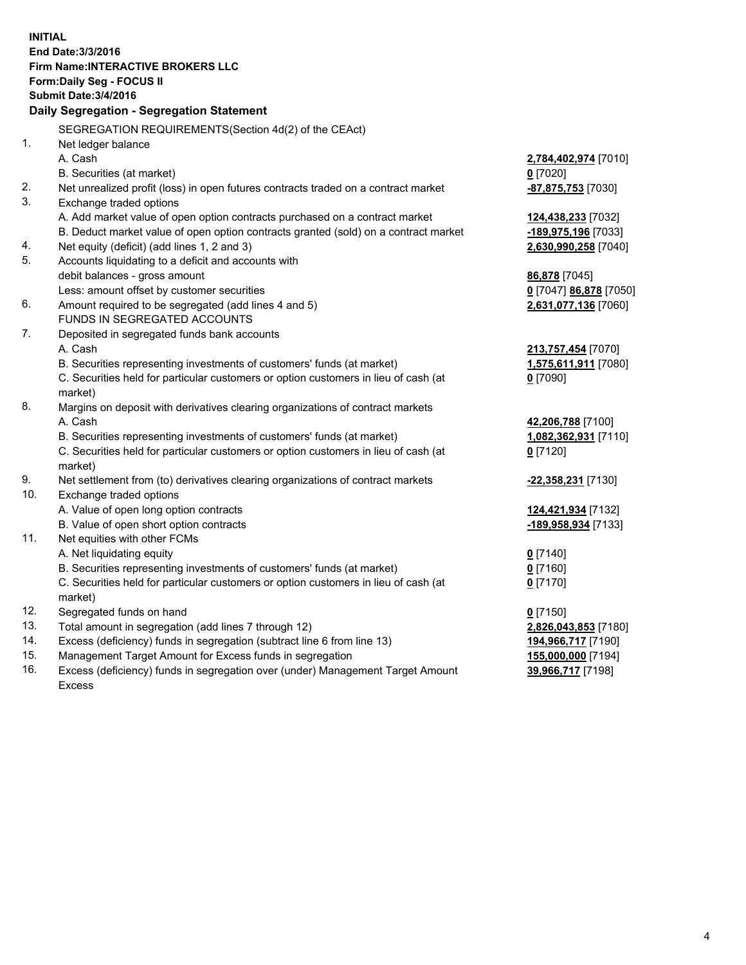**INITIAL End Date:3/3/2016 Firm Name:INTERACTIVE BROKERS LLC Form:Daily Seg - FOCUS II Submit Date:3/4/2016 Daily Segregation - Segregation Statement** SEGREGATION REQUIREMENTS(Section 4d(2) of the CEAct) 1. Net ledger balance A. Cash **2,784,402,974** [7010] B. Securities (at market) **0** [7020] 2. Net unrealized profit (loss) in open futures contracts traded on a contract market **-87,875,753** [7030] 3. Exchange traded options A. Add market value of open option contracts purchased on a contract market **124,438,233** [7032] B. Deduct market value of open option contracts granted (sold) on a contract market **-189,975,196** [7033] 4. Net equity (deficit) (add lines 1, 2 and 3) **2,630,990,258** [7040] 5. Accounts liquidating to a deficit and accounts with debit balances - gross amount **86,878** [7045] Less: amount offset by customer securities **0** [7047] **86,878** [7050] 6. Amount required to be segregated (add lines 4 and 5) **2,631,077,136** [7060] FUNDS IN SEGREGATED ACCOUNTS 7. Deposited in segregated funds bank accounts A. Cash **213,757,454** [7070] B. Securities representing investments of customers' funds (at market) **1,575,611,911** [7080] C. Securities held for particular customers or option customers in lieu of cash (at market) **0** [7090] 8. Margins on deposit with derivatives clearing organizations of contract markets A. Cash **42,206,788** [7100] B. Securities representing investments of customers' funds (at market) **1,082,362,931** [7110] C. Securities held for particular customers or option customers in lieu of cash (at market) **0** [7120] 9. Net settlement from (to) derivatives clearing organizations of contract markets **-22,358,231** [7130] 10. Exchange traded options A. Value of open long option contracts **124,421,934** [7132] B. Value of open short option contracts **-189,958,934** [7133] 11. Net equities with other FCMs A. Net liquidating equity **0** [7140] B. Securities representing investments of customers' funds (at market) **0** [7160] C. Securities held for particular customers or option customers in lieu of cash (at market) **0** [7170] 12. Segregated funds on hand **0** [7150] 13. Total amount in segregation (add lines 7 through 12) **2,826,043,853** [7180] 14. Excess (deficiency) funds in segregation (subtract line 6 from line 13) **194,966,717** [7190] 15. Management Target Amount for Excess funds in segregation **155,000,000** [7194] 16. Excess (deficiency) funds in segregation over (under) Management Target Amount **39,966,717** [7198]

Excess